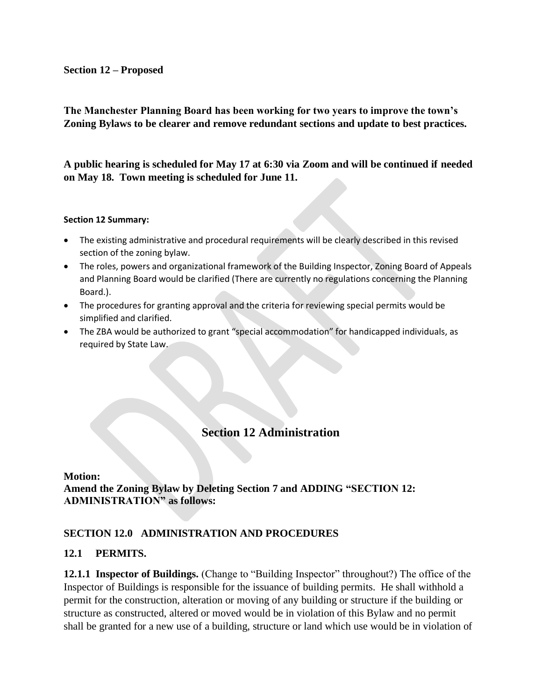#### **Section 12 – Proposed**

**The Manchester Planning Board has been working for two years to improve the town's Zoning Bylaws to be clearer and remove redundant sections and update to best practices.** 

**A public hearing is scheduled for May 17 at 6:30 via Zoom and will be continued if needed on May 18. Town meeting is scheduled for June 11.**

#### **Section 12 Summary:**

- The existing administrative and procedural requirements will be clearly described in this revised section of the zoning bylaw.
- The roles, powers and organizational framework of the Building Inspector, Zoning Board of Appeals and Planning Board would be clarified (There are currently no regulations concerning the Planning Board.).
- The procedures for granting approval and the criteria for reviewing special permits would be simplified and clarified.
- The ZBA would be authorized to grant "special accommodation" for handicapped individuals, as required by State Law.

# **Section 12 Administration**

**Motion: Amend the Zoning Bylaw by Deleting Section 7 and ADDING "SECTION 12: ADMINISTRATION" as follows:**

### **SECTION 12.0 ADMINISTRATION AND PROCEDURES**

### **12.1 PERMITS.**

**12.1.1 Inspector of Buildings.** (Change to "Building Inspector" throughout?) The office of the Inspector of Buildings is responsible for the issuance of building permits. He shall withhold a permit for the construction, alteration or moving of any building or structure if the building or structure as constructed, altered or moved would be in violation of this Bylaw and no permit shall be granted for a new use of a building, structure or land which use would be in violation of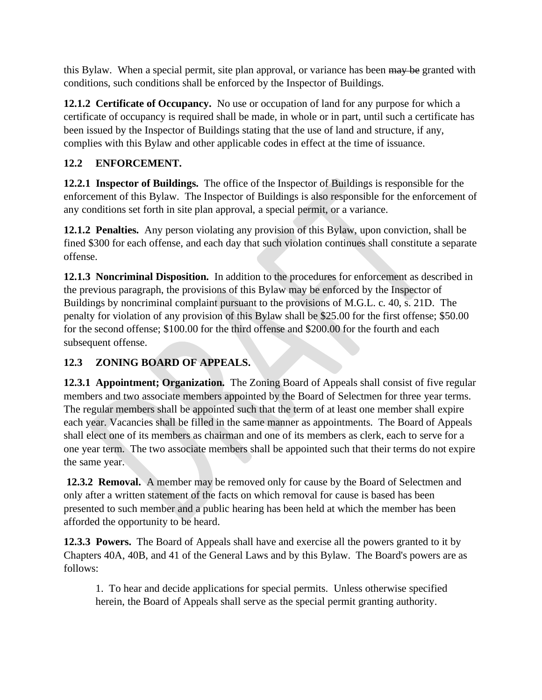this Bylaw. When a special permit, site plan approval, or variance has been may be granted with conditions, such conditions shall be enforced by the Inspector of Buildings.

**12.1.2 Certificate of Occupancy.** No use or occupation of land for any purpose for which a certificate of occupancy is required shall be made, in whole or in part, until such a certificate has been issued by the Inspector of Buildings stating that the use of land and structure, if any, complies with this Bylaw and other applicable codes in effect at the time of issuance.

## **12.2 ENFORCEMENT.**

**12.2.1 Inspector of Buildings.** The office of the Inspector of Buildings is responsible for the enforcement of this Bylaw. The Inspector of Buildings is also responsible for the enforcement of any conditions set forth in site plan approval, a special permit, or a variance.

**12.1.2 Penalties.** Any person violating any provision of this Bylaw, upon conviction, shall be fined \$300 for each offense, and each day that such violation continues shall constitute a separate offense.

**12.1.3 Noncriminal Disposition.** In addition to the procedures for enforcement as described in the previous paragraph, the provisions of this Bylaw may be enforced by the Inspector of Buildings by noncriminal complaint pursuant to the provisions of M.G.L. c. 40, s. 21D. The penalty for violation of any provision of this Bylaw shall be \$25.00 for the first offense; \$50.00 for the second offense; \$100.00 for the third offense and \$200.00 for the fourth and each subsequent offense.

# **12.3 ZONING BOARD OF APPEALS.**

**12.3.1 Appointment; Organization.** The Zoning Board of Appeals shall consist of five regular members and two associate members appointed by the Board of Selectmen for three year terms. The regular members shall be appointed such that the term of at least one member shall expire each year. Vacancies shall be filled in the same manner as appointments. The Board of Appeals shall elect one of its members as chairman and one of its members as clerk, each to serve for a one year term. The two associate members shall be appointed such that their terms do not expire the same year.

**12.3.2 Removal.** A member may be removed only for cause by the Board of Selectmen and only after a written statement of the facts on which removal for cause is based has been presented to such member and a public hearing has been held at which the member has been afforded the opportunity to be heard.

**12.3.3 Powers.** The Board of Appeals shall have and exercise all the powers granted to it by Chapters 40A, 40B, and 41 of the General Laws and by this Bylaw. The Board's powers are as follows:

1. To hear and decide applications for special permits. Unless otherwise specified herein, the Board of Appeals shall serve as the special permit granting authority.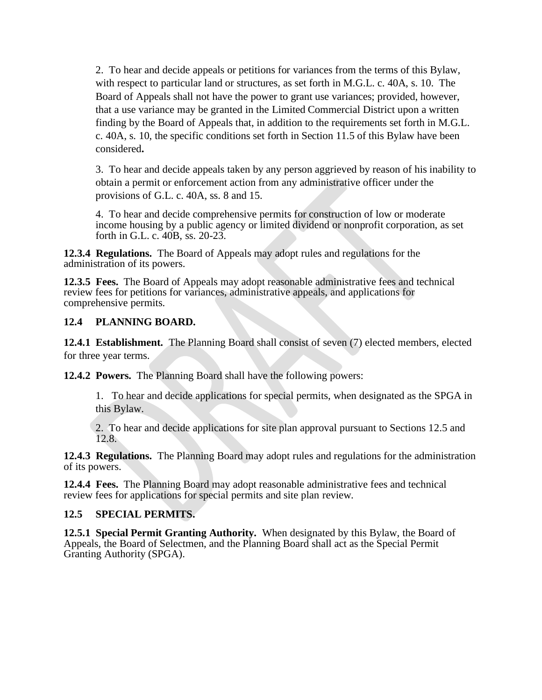2. To hear and decide appeals or petitions for variances from the terms of this Bylaw, with respect to particular land or structures, as set forth in M.G.L. c. 40A, s. 10. The Board of Appeals shall not have the power to grant use variances; provided, however, that a use variance may be granted in the Limited Commercial District upon a written finding by the Board of Appeals that, in addition to the requirements set forth in M.G.L. c. 40A, s. 10, the specific conditions set forth in Section 11.5 of this Bylaw have been considered**.**

3. To hear and decide appeals taken by any person aggrieved by reason of his inability to obtain a permit or enforcement action from any administrative officer under the provisions of G.L. c. 40A, ss. 8 and 15.

4. To hear and decide comprehensive permits for construction of low or moderate income housing by a public agency or limited dividend or nonprofit corporation, as set forth in G.L. c. 40B, ss. 20-23.

**12.3.4 Regulations.** The Board of Appeals may adopt rules and regulations for the administration of its powers.

**12.3.5 Fees.** The Board of Appeals may adopt reasonable administrative fees and technical review fees for petitions for variances, administrative appeals, and applications for comprehensive permits.

### **12.4 PLANNING BOARD.**

**12.4.1 Establishment.** The Planning Board shall consist of seven (7) elected members, elected for three year terms.

**12.4.2 Powers.** The Planning Board shall have the following powers:

1. To hear and decide applications for special permits, when designated as the SPGA in this Bylaw.

2. To hear and decide applications for site plan approval pursuant to Sections 12.5 and 12.8.

**12.4.3 Regulations.** The Planning Board may adopt rules and regulations for the administration of its powers.

**12.4.4 Fees.** The Planning Board may adopt reasonable administrative fees and technical review fees for applications for special permits and site plan review.

### **12.5 SPECIAL PERMITS.**

**12.5.1 Special Permit Granting Authority.** When designated by this Bylaw, the Board of Appeals, the Board of Selectmen, and the Planning Board shall act as the Special Permit Granting Authority (SPGA).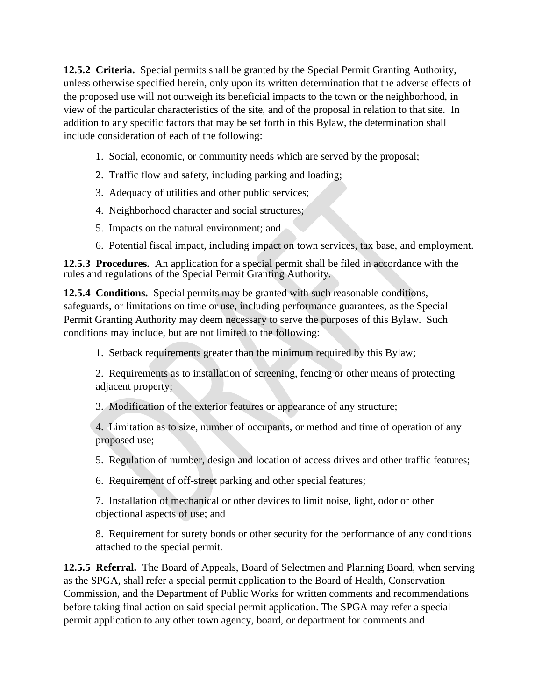**12.5.2 Criteria.** Special permits shall be granted by the Special Permit Granting Authority, unless otherwise specified herein, only upon its written determination that the adverse effects of the proposed use will not outweigh its beneficial impacts to the town or the neighborhood, in view of the particular characteristics of the site, and of the proposal in relation to that site. In addition to any specific factors that may be set forth in this Bylaw, the determination shall include consideration of each of the following:

- 1. Social, economic, or community needs which are served by the proposal;
- 2. Traffic flow and safety, including parking and loading;
- 3. Adequacy of utilities and other public services;
- 4. Neighborhood character and social structures;
- 5. Impacts on the natural environment; and
- 6. Potential fiscal impact, including impact on town services, tax base, and employment.

**12.5.3 Procedures.** An application for a special permit shall be filed in accordance with the rules and regulations of the Special Permit Granting Authority.

**12.5.4 Conditions.** Special permits may be granted with such reasonable conditions, safeguards, or limitations on time or use, including performance guarantees, as the Special Permit Granting Authority may deem necessary to serve the purposes of this Bylaw. Such conditions may include, but are not limited to the following:

1. Setback requirements greater than the minimum required by this Bylaw;

2. Requirements as to installation of screening, fencing or other means of protecting adjacent property;

3. Modification of the exterior features or appearance of any structure;

4. Limitation as to size, number of occupants, or method and time of operation of any proposed use;

5. Regulation of number, design and location of access drives and other traffic features;

6. Requirement of off-street parking and other special features;

7. Installation of mechanical or other devices to limit noise, light, odor or other objectional aspects of use; and

8. Requirement for surety bonds or other security for the performance of any conditions attached to the special permit.

**12.5.5 Referral.** The Board of Appeals, Board of Selectmen and Planning Board, when serving as the SPGA, shall refer a special permit application to the Board of Health, Conservation Commission, and the Department of Public Works for written comments and recommendations before taking final action on said special permit application. The SPGA may refer a special permit application to any other town agency, board, or department for comments and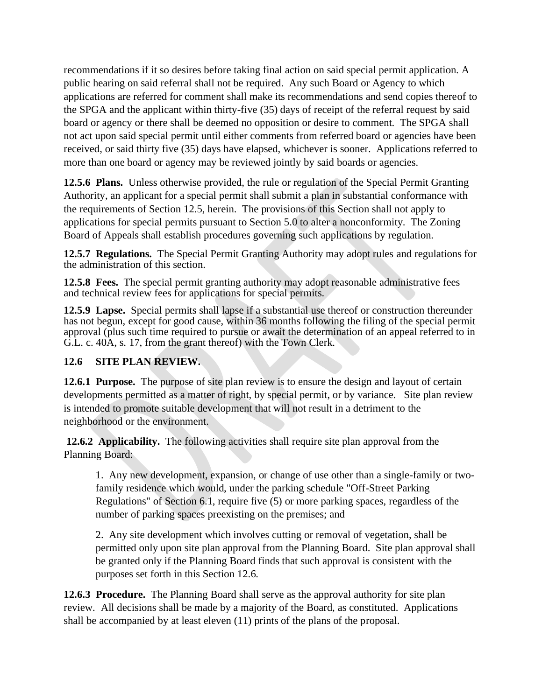recommendations if it so desires before taking final action on said special permit application. A public hearing on said referral shall not be required. Any such Board or Agency to which applications are referred for comment shall make its recommendations and send copies thereof to the SPGA and the applicant within thirty-five (35) days of receipt of the referral request by said board or agency or there shall be deemed no opposition or desire to comment. The SPGA shall not act upon said special permit until either comments from referred board or agencies have been received, or said thirty five (35) days have elapsed, whichever is sooner. Applications referred to more than one board or agency may be reviewed jointly by said boards or agencies.

**12.5.6 Plans.** Unless otherwise provided, the rule or regulation of the Special Permit Granting Authority, an applicant for a special permit shall submit a plan in substantial conformance with the requirements of Section 12.5, herein. The provisions of this Section shall not apply to applications for special permits pursuant to Section 5.0 to alter a nonconformity. The Zoning Board of Appeals shall establish procedures governing such applications by regulation.

**12.5.7 Regulations.** The Special Permit Granting Authority may adopt rules and regulations for the administration of this section.

**12.5.8 Fees.** The special permit granting authority may adopt reasonable administrative fees and technical review fees for applications for special permits.

**12.5.9 Lapse.** Special permits shall lapse if a substantial use thereof or construction thereunder has not begun, except for good cause, within 36 months following the filing of the special permit approval (plus such time required to pursue or await the determination of an appeal referred to in G.L. c. 40A, s. 17, from the grant thereof) with the Town Clerk.

## **12.6 SITE PLAN REVIEW.**

**12.6.1 Purpose.** The purpose of site plan review is to ensure the design and layout of certain developments permitted as a matter of right, by special permit, or by variance. Site plan review is intended to promote suitable development that will not result in a detriment to the neighborhood or the environment.

**12.6.2 Applicability.** The following activities shall require site plan approval from the Planning Board:

1. Any new development, expansion, or change of use other than a single-family or twofamily residence which would, under the parking schedule "Off-Street Parking Regulations" of Section 6.1, require five (5) or more parking spaces, regardless of the number of parking spaces preexisting on the premises; and

2. Any site development which involves cutting or removal of vegetation, shall be permitted only upon site plan approval from the Planning Board. Site plan approval shall be granted only if the Planning Board finds that such approval is consistent with the purposes set forth in this Section 12.6.

**12.6.3 Procedure.** The Planning Board shall serve as the approval authority for site plan review. All decisions shall be made by a majority of the Board, as constituted. Applications shall be accompanied by at least eleven (11) prints of the plans of the proposal.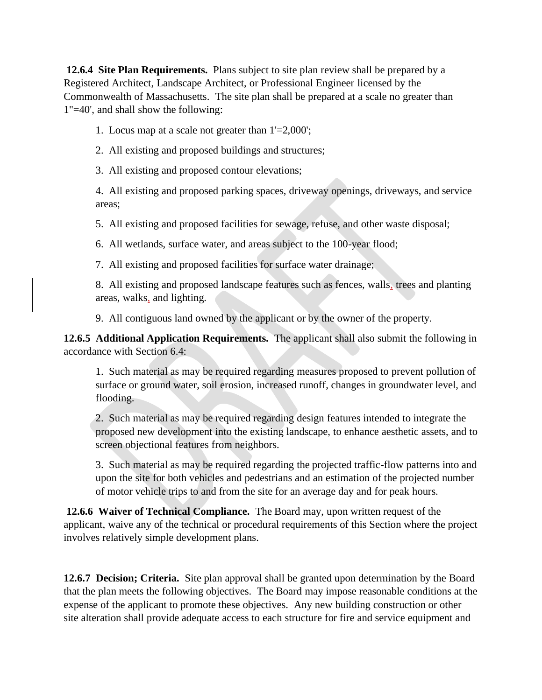**12.6.4 Site Plan Requirements.** Plans subject to site plan review shall be prepared by a Registered Architect, Landscape Architect, or Professional Engineer licensed by the Commonwealth of Massachusetts. The site plan shall be prepared at a scale no greater than 1"=40', and shall show the following:

- 1. Locus map at a scale not greater than 1'=2,000';
- 2. All existing and proposed buildings and structures;
- 3. All existing and proposed contour elevations;

4. All existing and proposed parking spaces, driveway openings, driveways, and service areas;

5. All existing and proposed facilities for sewage, refuse, and other waste disposal;

6. All wetlands, surface water, and areas subject to the 100-year flood;

7. All existing and proposed facilities for surface water drainage;

8. All existing and proposed landscape features such as fences, walls, trees and planting areas, walks, and lighting.

9. All contiguous land owned by the applicant or by the owner of the property.

**12.6.5 Additional Application Requirements.** The applicant shall also submit the following in accordance with Section 6.4:

1. Such material as may be required regarding measures proposed to prevent pollution of surface or ground water, soil erosion, increased runoff, changes in groundwater level, and flooding.

2. Such material as may be required regarding design features intended to integrate the proposed new development into the existing landscape, to enhance aesthetic assets, and to screen objectional features from neighbors.

3. Such material as may be required regarding the projected traffic-flow patterns into and upon the site for both vehicles and pedestrians and an estimation of the projected number of motor vehicle trips to and from the site for an average day and for peak hours.

**12.6.6 Waiver of Technical Compliance.** The Board may, upon written request of the applicant, waive any of the technical or procedural requirements of this Section where the project involves relatively simple development plans.

**12.6.7 Decision; Criteria.** Site plan approval shall be granted upon determination by the Board that the plan meets the following objectives. The Board may impose reasonable conditions at the expense of the applicant to promote these objectives. Any new building construction or other site alteration shall provide adequate access to each structure for fire and service equipment and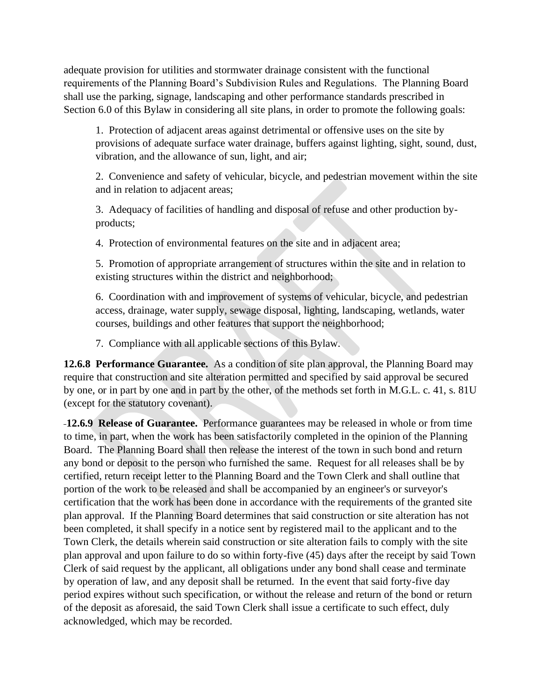adequate provision for utilities and stormwater drainage consistent with the functional requirements of the Planning Board's Subdivision Rules and Regulations. The Planning Board shall use the parking, signage, landscaping and other performance standards prescribed in Section 6.0 of this Bylaw in considering all site plans, in order to promote the following goals:

1. Protection of adjacent areas against detrimental or offensive uses on the site by provisions of adequate surface water drainage, buffers against lighting, sight, sound, dust, vibration, and the allowance of sun, light, and air;

2. Convenience and safety of vehicular, bicycle, and pedestrian movement within the site and in relation to adjacent areas;

3. Adequacy of facilities of handling and disposal of refuse and other production byproducts;

4. Protection of environmental features on the site and in adjacent area;

5. Promotion of appropriate arrangement of structures within the site and in relation to existing structures within the district and neighborhood;

6. Coordination with and improvement of systems of vehicular, bicycle, and pedestrian access, drainage, water supply, sewage disposal, lighting, landscaping, wetlands, water courses, buildings and other features that support the neighborhood;

7. Compliance with all applicable sections of this Bylaw.

**12.6.8 Performance Guarantee.** As a condition of site plan approval, the Planning Board may require that construction and site alteration permitted and specified by said approval be secured by one, or in part by one and in part by the other, of the methods set forth in M.G.L. c. 41, s. 81U (except for the statutory covenant).

**12.6.9 Release of Guarantee.** Performance guarantees may be released in whole or from time to time, in part, when the work has been satisfactorily completed in the opinion of the Planning Board. The Planning Board shall then release the interest of the town in such bond and return any bond or deposit to the person who furnished the same. Request for all releases shall be by certified, return receipt letter to the Planning Board and the Town Clerk and shall outline that portion of the work to be released and shall be accompanied by an engineer's or surveyor's certification that the work has been done in accordance with the requirements of the granted site plan approval. If the Planning Board determines that said construction or site alteration has not been completed, it shall specify in a notice sent by registered mail to the applicant and to the Town Clerk, the details wherein said construction or site alteration fails to comply with the site plan approval and upon failure to do so within forty-five (45) days after the receipt by said Town Clerk of said request by the applicant, all obligations under any bond shall cease and terminate by operation of law, and any deposit shall be returned. In the event that said forty-five day period expires without such specification, or without the release and return of the bond or return of the deposit as aforesaid, the said Town Clerk shall issue a certificate to such effect, duly acknowledged, which may be recorded.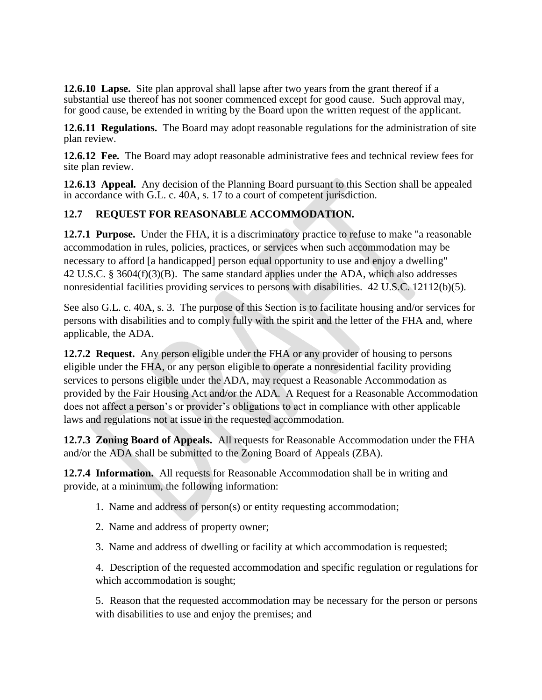**12.6.10 Lapse.** Site plan approval shall lapse after two years from the grant thereof if a substantial use thereof has not sooner commenced except for good cause. Such approval may, for good cause, be extended in writing by the Board upon the written request of the applicant.

**12.6.11 Regulations.** The Board may adopt reasonable regulations for the administration of site plan review.

**12.6.12 Fee.** The Board may adopt reasonable administrative fees and technical review fees for site plan review.

**12.6.13 Appeal.** Any decision of the Planning Board pursuant to this Section shall be appealed in accordance with G.L. c. 40A, s. 17 to a court of competent jurisdiction.

### **12.7 REQUEST FOR REASONABLE ACCOMMODATION.**

**12.7.1 Purpose.** Under the FHA, it is a discriminatory practice to refuse to make "a reasonable accommodation in rules, policies, practices, or services when such accommodation may be necessary to afford [a handicapped] person equal opportunity to use and enjoy a dwelling" 42 U.S.C. § 3604(f)(3)(B). The same standard applies under the ADA, which also addresses nonresidential facilities providing services to persons with disabilities. 42 U.S.C. 12112(b)(5).

See also G.L. c. 40A, s. 3. The purpose of this Section is to facilitate housing and/or services for persons with disabilities and to comply fully with the spirit and the letter of the FHA and, where applicable, the ADA.

**12.7.2 Request.** Any person eligible under the FHA or any provider of housing to persons eligible under the FHA, or any person eligible to operate a nonresidential facility providing services to persons eligible under the ADA, may request a Reasonable Accommodation as provided by the Fair Housing Act and/or the ADA. A Request for a Reasonable Accommodation does not affect a person's or provider's obligations to act in compliance with other applicable laws and regulations not at issue in the requested accommodation.

**12.7.3 Zoning Board of Appeals.** All requests for Reasonable Accommodation under the FHA and/or the ADA shall be submitted to the Zoning Board of Appeals (ZBA).

**12.7.4 Information.** All requests for Reasonable Accommodation shall be in writing and provide, at a minimum, the following information:

- 1. Name and address of person(s) or entity requesting accommodation;
- 2. Name and address of property owner;
- 3. Name and address of dwelling or facility at which accommodation is requested;

4. Description of the requested accommodation and specific regulation or regulations for which accommodation is sought;

5. Reason that the requested accommodation may be necessary for the person or persons with disabilities to use and enjoy the premises; and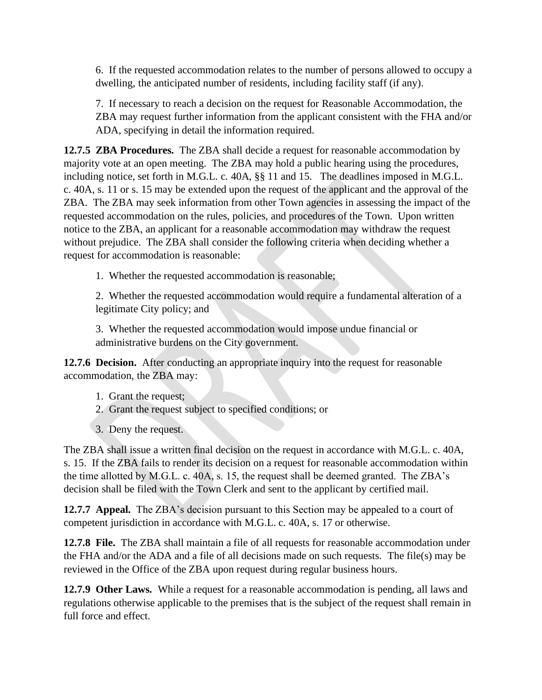6. If the requested accommodation relates to the number of persons allowed to occupy a dwelling, the anticipated number of residents, including facility staff (if any).

7. If necessary to reach a decision on the request for Reasonable Accommodation, the ZBA may request further information from the applicant consistent with the FHA and/or ADA, specifying in detail the information required.

**12.7.5 ZBA Procedures.** The ZBA shall decide a request for reasonable accommodation by majority vote at an open meeting. The ZBA may hold a public hearing using the procedures, including notice, set forth in M.G.L. c. 40A, §§ 11 and 15. The deadlines imposed in M.G.L. c. 40A, s. 11 or s. 15 may be extended upon the request of the applicant and the approval of the ZBA. The ZBA may seek information from other Town agencies in assessing the impact of the requested accommodation on the rules, policies, and procedures of the Town. Upon written notice to the ZBA, an applicant for a reasonable accommodation may withdraw the request without prejudice. The ZBA shall consider the following criteria when deciding whether a request for accommodation is reasonable:

1. Whether the requested accommodation is reasonable;

2. Whether the requested accommodation would require a fundamental alteration of a legitimate City policy; and

3. Whether the requested accommodation would impose undue financial or administrative burdens on the City government.

**12.7.6 Decision.** After conducting an appropriate inquiry into the request for reasonable accommodation, the ZBA may:

- 1. Grant the request;
- 2. Grant the request subject to specified conditions; or
- 3. Deny the request.

The ZBA shall issue a written final decision on the request in accordance with M.G.L. c. 40A, s. 15. If the ZBA fails to render its decision on a request for reasonable accommodation within the time allotted by M.G.L. c. 40A, s. 15, the request shall be deemed granted. The ZBA's decision shall be filed with the Town Clerk and sent to the applicant by certified mail.

**12.7.7 Appeal.** The ZBA's decision pursuant to this Section may be appealed to a court of competent jurisdiction in accordance with M.G.L. c. 40A, s. 17 or otherwise.

**12.7.8 File.** The ZBA shall maintain a file of all requests for reasonable accommodation under the FHA and/or the ADA and a file of all decisions made on such requests. The file(s) may be reviewed in the Office of the ZBA upon request during regular business hours.

**12.7.9 Other Laws.** While a request for a reasonable accommodation is pending, all laws and regulations otherwise applicable to the premises that is the subject of the request shall remain in full force and effect.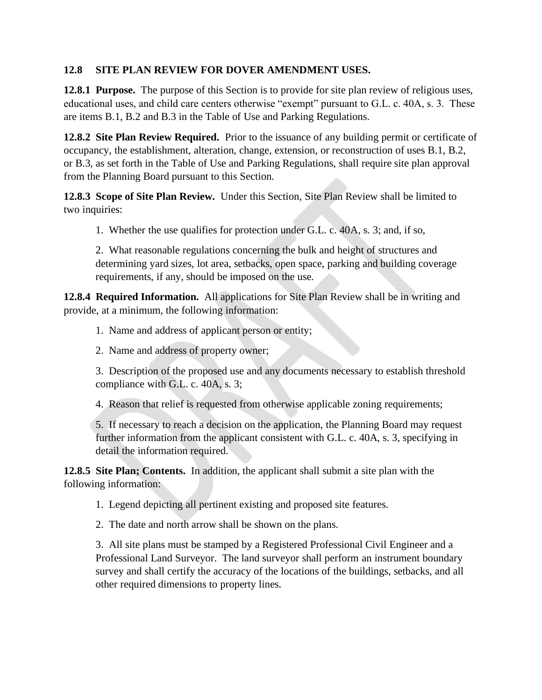### **12.8 SITE PLAN REVIEW FOR DOVER AMENDMENT USES.**

**12.8.1 Purpose.** The purpose of this Section is to provide for site plan review of religious uses, educational uses, and child care centers otherwise "exempt" pursuant to G.L. c. 40A, s. 3. These are items B.1, B.2 and B.3 in the Table of Use and Parking Regulations.

**12.8.2 Site Plan Review Required.** Prior to the issuance of any building permit or certificate of occupancy, the establishment, alteration, change, extension, or reconstruction of uses B.1, B.2, or B.3, as set forth in the Table of Use and Parking Regulations, shall require site plan approval from the Planning Board pursuant to this Section.

**12.8.3 Scope of Site Plan Review.** Under this Section, Site Plan Review shall be limited to two inquiries:

1. Whether the use qualifies for protection under G.L. c. 40A, s. 3; and, if so,

2. What reasonable regulations concerning the bulk and height of structures and determining yard sizes, lot area, setbacks, open space, parking and building coverage requirements, if any, should be imposed on the use.

**12.8.4 Required Information.** All applications for Site Plan Review shall be in writing and provide, at a minimum, the following information:

- 1. Name and address of applicant person or entity;
- 2. Name and address of property owner;

3. Description of the proposed use and any documents necessary to establish threshold compliance with G.L. c. 40A, s. 3;

4. Reason that relief is requested from otherwise applicable zoning requirements;

5. If necessary to reach a decision on the application, the Planning Board may request further information from the applicant consistent with G.L. c. 40A, s. 3, specifying in detail the information required.

**12.8.5 Site Plan; Contents.** In addition, the applicant shall submit a site plan with the following information:

1. Legend depicting all pertinent existing and proposed site features.

2. The date and north arrow shall be shown on the plans.

3. All site plans must be stamped by a Registered Professional Civil Engineer and a Professional Land Surveyor. The land surveyor shall perform an instrument boundary survey and shall certify the accuracy of the locations of the buildings, setbacks, and all other required dimensions to property lines.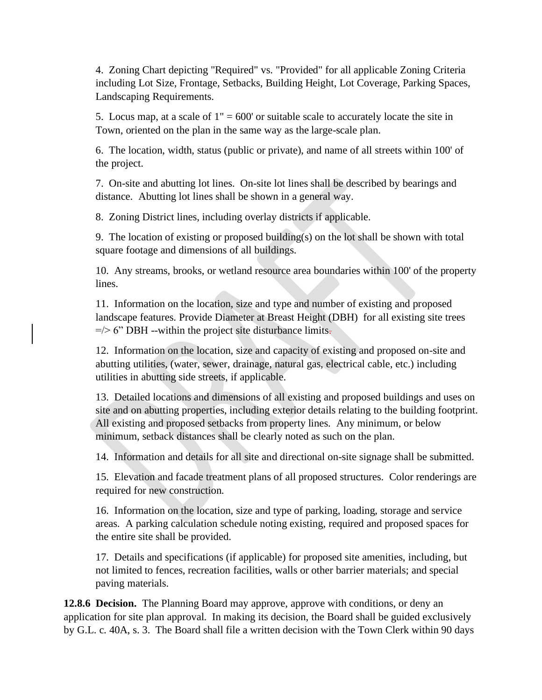4. Zoning Chart depicting "Required" vs. "Provided" for all applicable Zoning Criteria including Lot Size, Frontage, Setbacks, Building Height, Lot Coverage, Parking Spaces, Landscaping Requirements.

5. Locus map, at a scale of  $1" = 600'$  or suitable scale to accurately locate the site in Town, oriented on the plan in the same way as the large-scale plan.

6. The location, width, status (public or private), and name of all streets within 100' of the project.

7. On-site and abutting lot lines. On-site lot lines shall be described by bearings and distance. Abutting lot lines shall be shown in a general way.

8. Zoning District lines, including overlay districts if applicable.

9. The location of existing or proposed building(s) on the lot shall be shown with total square footage and dimensions of all buildings.

10. Any streams, brooks, or wetland resource area boundaries within 100' of the property lines.

11. Information on the location, size and type and number of existing and proposed landscape features. Provide Diameter at Breast Height (DBH) for all existing site trees  $=$  /> 6" DBH --within the project site disturbance limits.

12. Information on the location, size and capacity of existing and proposed on-site and abutting utilities, (water, sewer, drainage, natural gas, electrical cable, etc.) including utilities in abutting side streets, if applicable.

13. Detailed locations and dimensions of all existing and proposed buildings and uses on site and on abutting properties, including exterior details relating to the building footprint. All existing and proposed setbacks from property lines. Any minimum, or below minimum, setback distances shall be clearly noted as such on the plan.

14. Information and details for all site and directional on-site signage shall be submitted.

15. Elevation and facade treatment plans of all proposed structures. Color renderings are required for new construction.

16. Information on the location, size and type of parking, loading, storage and service areas. A parking calculation schedule noting existing, required and proposed spaces for the entire site shall be provided.

17. Details and specifications (if applicable) for proposed site amenities, including, but not limited to fences, recreation facilities, walls or other barrier materials; and special paving materials.

**12.8.6 Decision.** The Planning Board may approve, approve with conditions, or deny an application for site plan approval. In making its decision, the Board shall be guided exclusively by G.L. c. 40A, s. 3. The Board shall file a written decision with the Town Clerk within 90 days